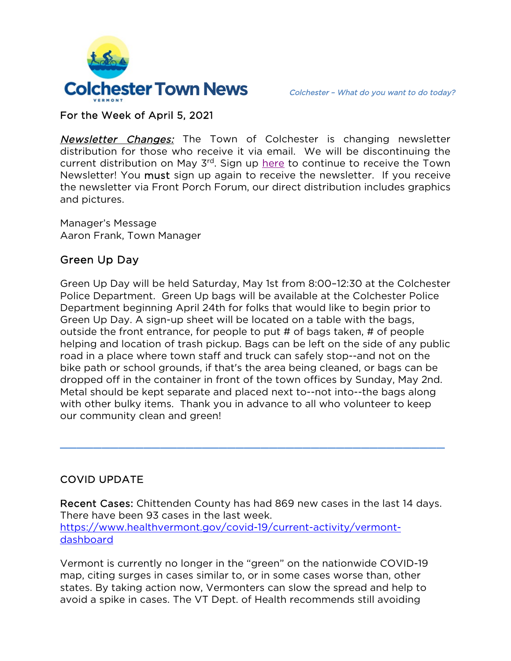

## For the Week of April 5, 2021

Newsletter Changes: The Town of Colchester is changing newsletter distribution for those who receive it via email. We will be discontinuing the current distribution on May 3<sup>rd</sup>. Sign up [here](https://lp.constantcontactpages.com/su/jkMAO2v) to continue to receive the Town Newsletter! You must sign up again to receive the newsletter. If you receive the newsletter via Front Porch Forum, our direct distribution includes graphics and pictures.

Manager's Message Aaron Frank, Town Manager

# Green Up Day

Green Up Day will be held Saturday, May 1st from 8:00–12:30 at the Colchester Police Department. Green Up bags will be available at the Colchester Police Department beginning April 24th for folks that would like to begin prior to Green Up Day. A sign-up sheet will be located on a table with the bags, outside the front entrance, for people to put # of bags taken, # of people helping and location of trash pickup. Bags can be left on the side of any public road in a place where town staff and truck can safely stop--and not on the bike path or school grounds, if that's the area being cleaned, or bags can be dropped off in the container in front of the town offices by Sunday, May 2nd. Metal should be kept separate and placed next to--not into--the bags along with other bulky items. Thank you in advance to all who volunteer to keep our community clean and green!

# COVID UPDATE

Recent Cases: Chittenden County has had 869 new cases in the last 14 days. There have been 93 cases in the last week. [https://www.healthvermont.gov/covid-19/current-activity/vermont](https://www.healthvermont.gov/covid-19/current-activity/vermont-dashboard)[dashboard](https://www.healthvermont.gov/covid-19/current-activity/vermont-dashboard)

 $\frac{1}{2}$  ,  $\frac{1}{2}$  ,  $\frac{1}{2}$  ,  $\frac{1}{2}$  ,  $\frac{1}{2}$  ,  $\frac{1}{2}$  ,  $\frac{1}{2}$  ,  $\frac{1}{2}$  ,  $\frac{1}{2}$  ,  $\frac{1}{2}$  ,  $\frac{1}{2}$  ,  $\frac{1}{2}$  ,  $\frac{1}{2}$  ,  $\frac{1}{2}$  ,  $\frac{1}{2}$  ,  $\frac{1}{2}$  ,  $\frac{1}{2}$  ,  $\frac{1}{2}$  ,  $\frac{1$ 

Vermont is currently no longer in the "green" on the nationwide COVID-19 map, citing surges in cases similar to, or in some cases worse than, other states. By taking action now, Vermonters can slow the spread and help to avoid a spike in cases. The VT Dept. of Health recommends still avoiding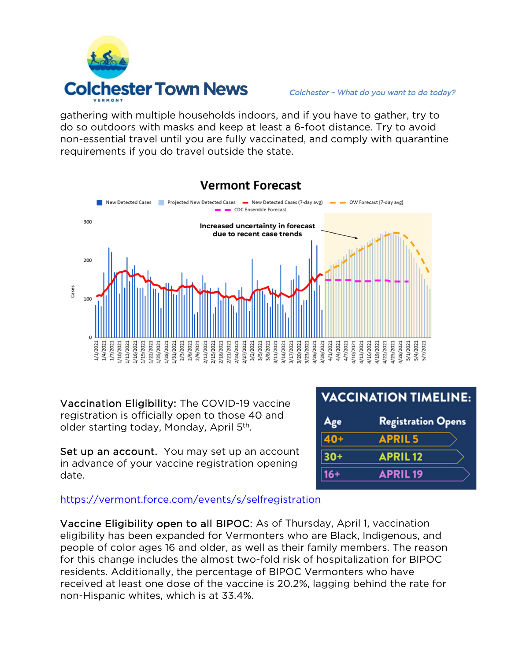

gathering with multiple households indoors, and if you have to gather, try to do so outdoors with masks and keep at least a 6-foot distance. Try to avoid non-essential travel until you are fully vaccinated, and comply with quarantine requirements if you do travel outside the state.



Vaccination Eligibility: The COVID-19 vaccine registration is officially open to those 40 and older starting today, Monday, April 5<sup>th</sup>.

Set up an account. You may set up an account in advance of your vaccine registration opening date.

| <b>VACCINATION TIMELINE:</b> |  |  |  |  |  |
|------------------------------|--|--|--|--|--|
| <b>Registration Opens</b>    |  |  |  |  |  |
| <b>APRIL5</b>                |  |  |  |  |  |
| <b>APRIL12</b>               |  |  |  |  |  |
| <b>APRIL19</b>               |  |  |  |  |  |
|                              |  |  |  |  |  |

<https://vermont.force.com/events/s/selfregistration>

Vaccine Eligibility open to all BIPOC: As of Thursday, April 1, vaccination eligibility has been expanded for Vermonters who are Black, Indigenous, and people of color ages 16 and older, as well as their family members. The reason for this change includes the almost two-fold risk of hospitalization for BIPOC residents. Additionally, the percentage of BIPOC Vermonters who have received at least one dose of the vaccine is 20.2%, lagging behind the rate for non-Hispanic whites, which is at 33.4%.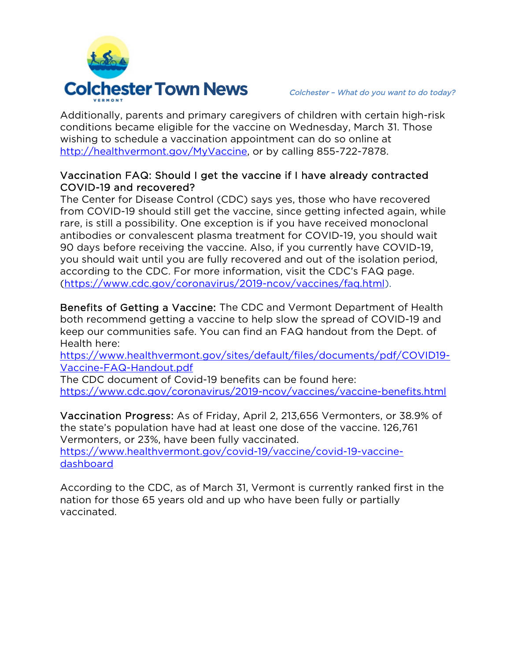

Additionally, parents and primary caregivers of children with certain high-risk conditions became eligible for the vaccine on Wednesday, March 31. Those wishing to schedule a vaccination appointment can do so online at [http://healthvermont.gov/MyVaccine,](http://healthvermont.gov/MyVaccine) or by calling 855-722-7878.

### Vaccination FAQ: Should I get the vaccine if I have already contracted COVID-19 and recovered?

The Center for Disease Control (CDC) says yes, those who have recovered from COVID-19 should still get the vaccine, since getting infected again, while rare, is still a possibility. One exception is if you have received monoclonal antibodies or convalescent plasma treatment for COVID-19, you should wait 90 days before receiving the vaccine. Also, if you currently have COVID-19, you should wait until you are fully recovered and out of the isolation period, according to the CDC. For more information, visit the CDC's FAQ page. [\(https://www.cdc.gov/coronavirus/2019-ncov/vaccines/faq.html\)](https://www.cdc.gov/coronavirus/2019-ncov/vaccines/faq.html).

Benefits of Getting a Vaccine: The CDC and Vermont Department of Health both recommend getting a vaccine to help slow the spread of COVID-19 and keep our communities safe. You can find an FAQ handout from the Dept. of Health here:

[https://www.healthvermont.gov/sites/default/files/documents/pdf/COVID19-](https://www.healthvermont.gov/sites/default/files/documents/pdf/COVID19-Vaccine-FAQ-Handout.pdf) [Vaccine-FAQ-Handout.pdf](https://www.healthvermont.gov/sites/default/files/documents/pdf/COVID19-Vaccine-FAQ-Handout.pdf)

The CDC document of Covid-19 benefits can be found here: <https://www.cdc.gov/coronavirus/2019-ncov/vaccines/vaccine-benefits.html>

Vaccination Progress: As of Friday, April 2, 213,656 Vermonters, or 38.9% of the state's population have had at least one dose of the vaccine. 126,761 Vermonters, or 23%, have been fully vaccinated. [https://www.healthvermont.gov/covid-19/vaccine/covid-19-vaccine-](https://www.healthvermont.gov/covid-19/vaccine/covid-19-vaccine-dashboard)

[dashboard](https://www.healthvermont.gov/covid-19/vaccine/covid-19-vaccine-dashboard)

According to the CDC, as of March 31, Vermont is currently ranked first in the nation for those 65 years old and up who have been fully or partially vaccinated.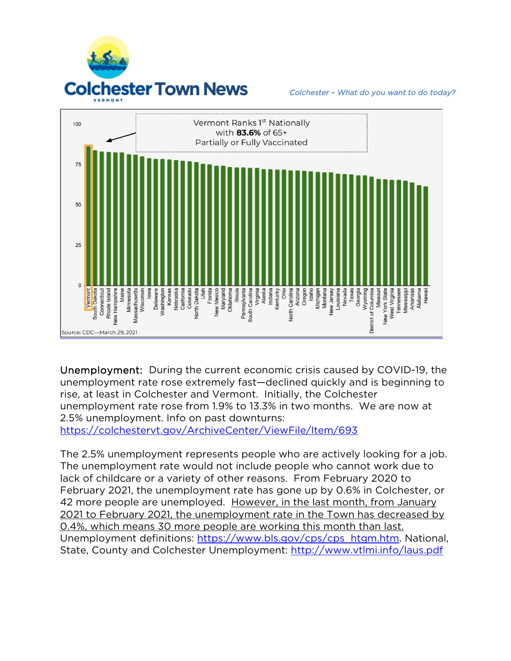



Unemployment: During the current economic crisis caused by COVID-19, the unemployment rate rose extremely fast—declined quickly and is beginning to rise, at least in Colchester and Vermont. Initially, the Colchester unemployment rate rose from 1.9% to 13.3% in two months. We are now at 2.5% unemployment. Info on past downturns: <https://colchestervt.gov/ArchiveCenter/ViewFile/Item/693>

The 2.5% unemployment represents people who are actively looking for a job. The unemployment rate would not include people who cannot work due to lack of childcare or a variety of other reasons. From February 2020 to February 2021, the unemployment rate has gone up by 0.6% in Colchester, or 42 more people are unemployed. However, in the last month, from January 2021 to February 2021, the unemployment rate in the Town has decreased by 0.4%, which means 30 more people are working this month than last. Unemployment definitions: [https://www.bls.gov/cps/cps\\_htgm.htm.](https://www.bls.gov/cps/cps_htgm.htm) National, State, County and Colchester Unemployment:<http://www.vtlmi.info/laus.pdf>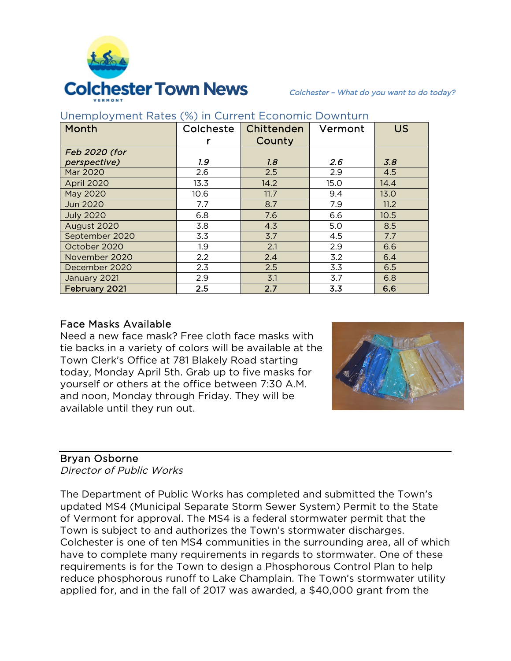

| Month            | Colcheste | Chittenden | Vermont | <b>US</b> |
|------------------|-----------|------------|---------|-----------|
|                  |           | County     |         |           |
| Feb 2020 (for    |           |            |         |           |
| perspective)     | 1.9       | 1.8        | 2.6     | 3.8       |
| Mar 2020         | 2.6       | 2.5        | 2.9     | 4.5       |
| April 2020       | 13.3      | 14.2       | 15.0    | 14.4      |
| May 2020         | 10.6      | 11.7       | 9.4     | 13.0      |
| <b>Jun 2020</b>  | 7.7       | 8.7        | 7.9     | 11.2      |
| <b>July 2020</b> | 6.8       | 7.6        | 6.6     | 10.5      |
| August 2020      | 3.8       | 4.3        | 5.0     | 8.5       |
| September 2020   | 3.3       | 3.7        | 4.5     | 7.7       |
| October 2020     | 1.9       | 2.1        | 2.9     | 6.6       |
| November 2020    | 2.2       | 2.4        | 3.2     | 6.4       |
| December 2020    | 2.3       | 2.5        | 3.3     | 6.5       |
| January 2021     | 2.9       | 3.1        | 3.7     | 6.8       |
| February 2021    | 2.5       | 2.7        | 3.3     | 6.6       |

### Unemployment Rates (%) in Current Economic Downturn

### Face Masks Available

Need a new face mask? Free cloth face masks with tie backs in a variety of colors will be available at the Town Clerk's Office at 781 Blakely Road starting today, Monday April 5th. Grab up to five masks for yourself or others at the office between 7:30 A.M. and noon, Monday through Friday. They will be available until they run out.



### Bryan Osborne

Director of Public Works

The Department of Public Works has completed and submitted the Town's updated MS4 (Municipal Separate Storm Sewer System) Permit to the State of Vermont for approval. The MS4 is a federal stormwater permit that the Town is subject to and authorizes the Town's stormwater discharges. Colchester is one of ten MS4 communities in the surrounding area, all of which have to complete many requirements in regards to stormwater. One of these requirements is for the Town to design a Phosphorous Control Plan to help reduce phosphorous runoff to Lake Champlain. The Town's stormwater utility applied for, and in the fall of 2017 was awarded, a \$40,000 grant from the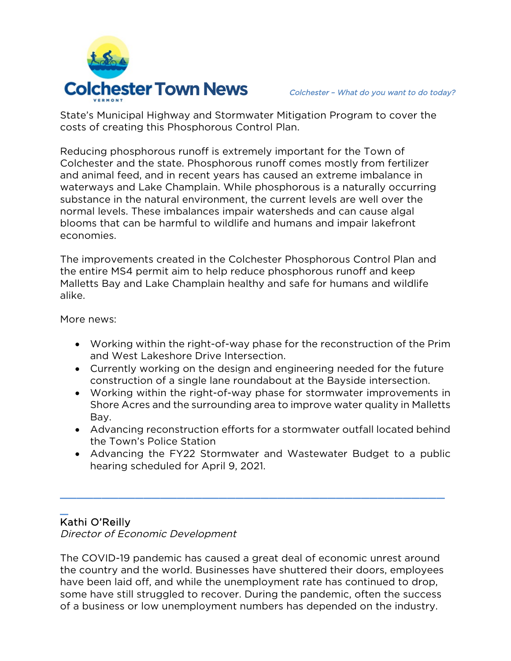

State's Municipal Highway and Stormwater Mitigation Program to cover the costs of creating this Phosphorous Control Plan.

Reducing phosphorous runoff is extremely important for the Town of Colchester and the state. Phosphorous runoff comes mostly from fertilizer and animal feed, and in recent years has caused an extreme imbalance in waterways and Lake Champlain. While phosphorous is a naturally occurring substance in the natural environment, the current levels are well over the normal levels. These imbalances impair watersheds and can cause algal blooms that can be harmful to wildlife and humans and impair lakefront economies.

The improvements created in the Colchester Phosphorous Control Plan and the entire MS4 permit aim to help reduce phosphorous runoff and keep Malletts Bay and Lake Champlain healthy and safe for humans and wildlife alike.

More news:

- Working within the right-of-way phase for the reconstruction of the Prim and West Lakeshore Drive Intersection.
- Currently working on the design and engineering needed for the future construction of a single lane roundabout at the Bayside intersection.
- Working within the right-of-way phase for stormwater improvements in Shore Acres and the surrounding area to improve water quality in Malletts Bay.
- Advancing reconstruction efforts for a stormwater outfall located behind the Town's Police Station
- Advancing the FY22 Stormwater and Wastewater Budget to a public hearing scheduled for April 9, 2021.

 $\frac{1}{2}$  ,  $\frac{1}{2}$  ,  $\frac{1}{2}$  ,  $\frac{1}{2}$  ,  $\frac{1}{2}$  ,  $\frac{1}{2}$  ,  $\frac{1}{2}$  ,  $\frac{1}{2}$  ,  $\frac{1}{2}$  ,  $\frac{1}{2}$  ,  $\frac{1}{2}$  ,  $\frac{1}{2}$  ,  $\frac{1}{2}$  ,  $\frac{1}{2}$  ,  $\frac{1}{2}$  ,  $\frac{1}{2}$  ,  $\frac{1}{2}$  ,  $\frac{1}{2}$  ,  $\frac{1$ 

## $\overline{\phantom{0}}$ Kathi O'Reilly

Director of Economic Development

The COVID-19 pandemic has caused a great deal of economic unrest around the country and the world. Businesses have shuttered their doors, employees have been laid off, and while the unemployment rate has continued to drop, some have still struggled to recover. During the pandemic, often the success of a business or low unemployment numbers has depended on the industry.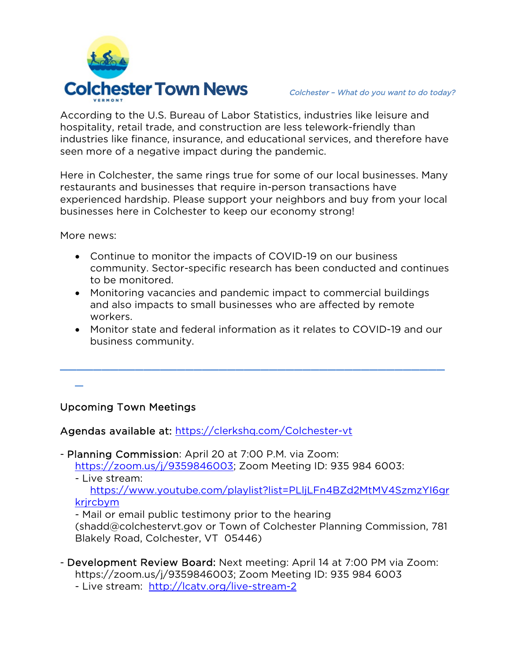

According to the U.S. Bureau of Labor Statistics, industries like leisure and hospitality, retail trade, and construction are less telework-friendly than industries like finance, insurance, and educational services, and therefore have seen more of a negative impact during the pandemic.

Here in Colchester, the same rings true for some of our local businesses. Many restaurants and businesses that require in-person transactions have experienced hardship. Please support your neighbors and buy from your local businesses here in Colchester to keep our economy strong!

More news:

 $\overline{a}$ 

- Continue to monitor the impacts of COVID-19 on our business community. Sector-specific research has been conducted and continues to be monitored.
- Monitoring vacancies and pandemic impact to commercial buildings and also impacts to small businesses who are affected by remote workers.

\_\_\_\_\_\_\_\_\_\_\_\_\_\_\_\_\_\_\_\_\_\_\_\_\_\_\_\_\_\_\_\_\_\_\_\_\_\_\_\_\_\_\_\_\_\_

 Monitor state and federal information as it relates to COVID-19 and our business community.

Upcoming Town Meetings

Agendas available at:<https://clerkshq.com/Colchester-vt>

- Planning Commission: April 20 at 7:00 P.M. via Zoom:

[https://zoom.us/j/9359846003;](https://zoom.us/j/9359846003) Zoom Meeting ID: 935 984 6003:

- Live stream:

[https://www.youtube.com/playlist?list=PLljLFn4BZd2MtMV4SzmzYI6gr](https://www.youtube.com/playlist?list=PLljLFn4BZd2MtMV4SzmzYI6grkrjrcbym) krircbym

- Mail or email public testimony prior to the hearing

[\(shadd@colchestervt.gov](mailto:shadd@colchestervt.gov) or Town of Colchester Planning Commission, 781 Blakely Road, Colchester, VT 05446)

- Development Review Board: Next meeting: April 14 at 7:00 PM via Zoom: https://zoom.us/j/9359846003; Zoom Meeting ID: 935 984 6003

- Live stream: <http://lcatv.org/live-stream-2>